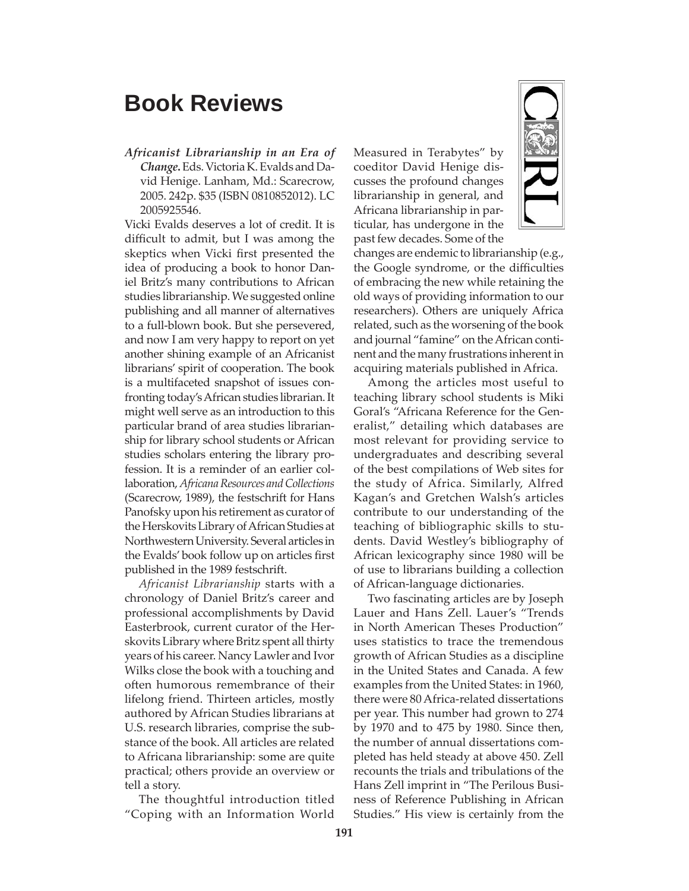## **Book Reviews**

*Africanist Librarianship in an Era of Change***.** Eds. Victoria K. Evalds and David Henige. Lanham, Md.: Scarecrow, 2005. 242p. \$35 (ISBN 0810852012). LC 2005925546.

Vicki Evalds deserves a lot of credit. It is difficult to admit, but I was among the skeptics when Vicki first presented the idea of producing a book to honor Daniel Britz's many contributions to African studies librarianship. We suggested online publishing and all manner of alternatives to a full-blown book. But she persevered, and now I am very happy to report on yet another shining example of an Africanist librarians' spirit of cooperation. The book is a multifaceted snapshot of issues confronting today's African studies librarian. It might well serve as an introduction to this particular brand of area studies librarianship for library school students or African studies scholars entering the library profession. It is a reminder of an earlier collaboration, *Africana Resources and Collections*  (Scarecrow, 1989), the festschrift for Hans Panofsky upon his retirement as curator of the Herskovits Library of African Studies at Northwestern University. Several articles in the Evalds' book follow up on articles first published in the 1989 festschrift.

*Africanist Librarianship* starts with a chronology of Daniel Britz's career and professional accomplishments by David Easterbrook, current curator of the Herskovits Library where Britz spent all thirty years of his career. Nancy Lawler and Ivor Wilks close the book with a touching and often humorous remembrance of their lifelong friend. Thirteen articles, mostly authored by African Studies librarians at U.S. research libraries, comprise the substance of the book. All articles are related to Africana librarianship: some are quite practical; others provide an overview or tell a story.

The thoughtful introduction titled "Coping with an Information World Measured in Terabytes" by coeditor David Henige discusses the profound changes librarianship in general, and Africana librarianship in particular, has undergone in the past few decades. Some of the



changes are endemic to librarianship (e.g., the Google syndrome, or the difficulties of embracing the new while retaining the old ways of providing information to our researchers). Others are uniquely Africa related, such as the worsening of the book and journal "famine" on the African continent and the many frustrations inherent in acquiring materials published in Africa.

Among the articles most useful to teaching library school students is Miki Goral's "Africana Reference for the Generalist," detailing which databases are most relevant for providing service to undergraduates and describing several of the best compilations of Web sites for the study of Africa. Similarly, Alfred Kagan's and Gretchen Walsh's articles contribute to our understanding of the teaching of bibliographic skills to students. David Westley's bibliography of African lexicography since 1980 will be of use to librarians building a collection of African-language dictionaries.

Two fascinating articles are by Joseph Lauer and Hans Zell. Lauer's "Trends in North American Theses Production" uses statistics to trace the tremendous growth of African Studies as a discipline in the United States and Canada. A few examples from the United States: in 1960, there were 80 Africa-related dissertations per year. This number had grown to 274 by 1970 and to 475 by 1980. Since then, the number of annual dissertations completed has held steady at above 450. Zell recounts the trials and tribulations of the Hans Zell imprint in "The Perilous Business of Reference Publishing in African Studies." His view is certainly from the